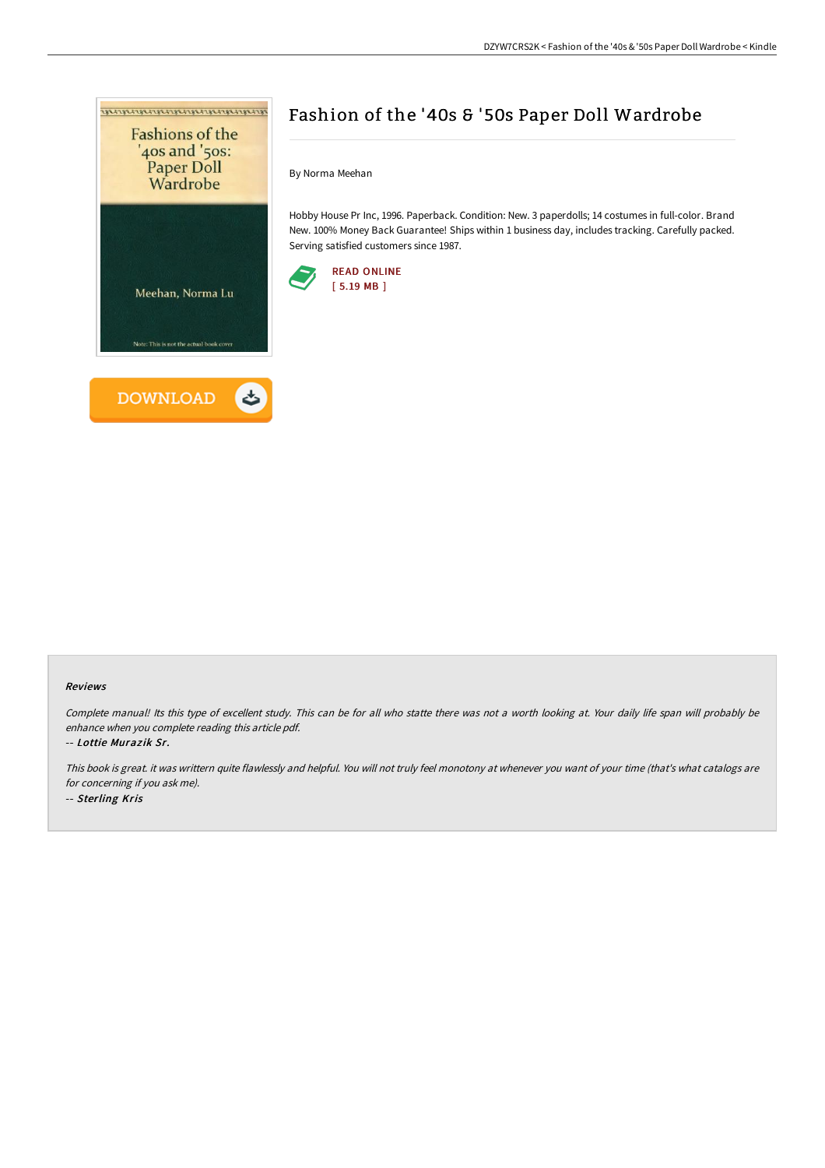

# Fashion of the '40s & '50s Paper Doll Wardrobe

By Norma Meehan

Hobby House Pr Inc, 1996. Paperback. Condition: New. 3 paperdolls; 14 costumes in full-color. Brand New. 100% Money Back Guarantee! Ships within 1 business day, includes tracking. Carefully packed. Serving satisfied customers since 1987.



#### Reviews

Complete manual! Its this type of excellent study. This can be for all who statte there was not <sup>a</sup> worth looking at. Your daily life span will probably be enhance when you complete reading this article pdf.

-- Lottie Murazik Sr.

This book is great. it was writtern quite flawlessly and helpful. You will not truly feel monotony at whenever you want of your time (that's what catalogs are for concerning if you ask me). -- Sterling Kris